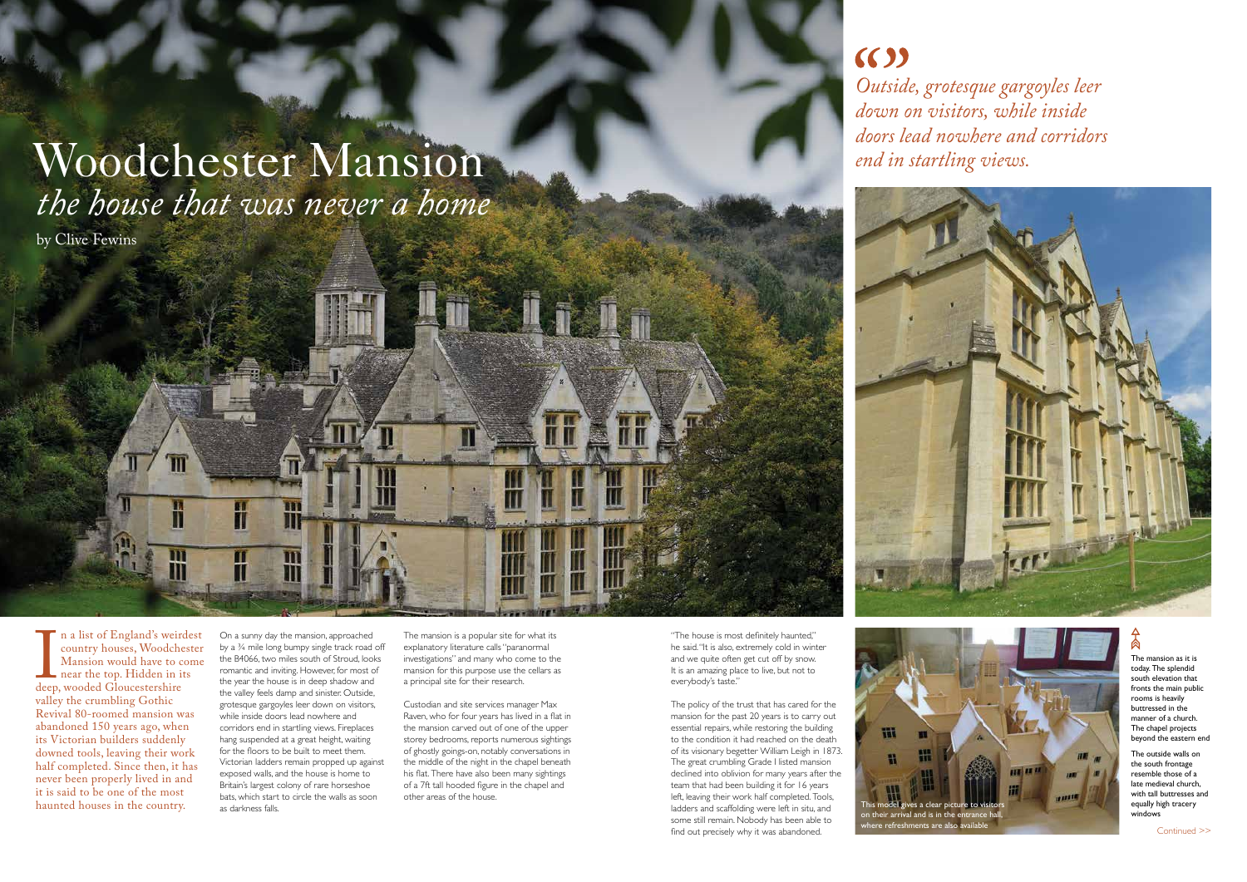"The house is most definitely haunted," he said. "It is also, extremely cold in winter and we quite often get cut off by snow. It is an amazing place to live, but not to everybody's taste."

The policy of the trust that has cared for the mansion for the past 20 years is to carry out essential repairs, while restoring the building to the condition it had reached on the death of its visionary begetter William Leigh in 1873. The great crumbling Grade I listed mansion declined into oblivion for many years after the team that had been building it for 16 years left, leaving their work half completed. Tools, ladders and scaffolding were left in situ, and some still remain. Nobody has been able to find out precisely why it was abandoned.

 $(3)$ *Outside, grotesque gargoyles leer down on visitors, while inside doors lead nowhere and corridors* 

# Woodchester Mansion *the house that was never a home*

The mansion as it is today. The splendid south elevation that fronts the main public rooms is heavily buttressed in the manner of a church. The chapel projects beyond the eastern end

deep<br>valle n a list of England's weirdest country houses, Woodchester Mansion would have to come near the top. Hidden in its deep, wooded Gloucestershire valley the crumbling Gothic Revival 80-roomed mansion was abandoned 150 years ago, when its Victorian builders suddenly downed tools, leaving their work half completed. Since then, it has never been properly lived in and it is said to be one of the most haunted houses in the country.

The outside walls on the south frontage resemble those of a late medieval church, with tall buttresses and equally high tracery windows

by Clive Fewins



On a sunny day the mansion, approached by a ¾ mile long bumpy single track road off the B4066, two miles south of Stroud, looks romantic and inviting. However, for most of the year the house is in deep shadow and the valley feels damp and sinister. Outside, grotesque gargoyles leer down on visitors, while inside doors lead nowhere and corridors end in startling views. Fireplaces hang suspended at a great height, waiting for the floors to be built to meet them. Victorian ladders remain propped up against exposed walls, and the house is home to Britain's largest colony of rare horseshoe bats, which start to circle the walls as soon as darkness falls.

Continued >>

The mansion is a popular site for what its explanatory literature calls "paranormal investigations" and many who come to the mansion for this purpose use the cellars as a principal site for their research.

Custodian and site services manager Max Raven, who for four years has lived in a flat in the mansion carved out of one of the upper storey bedrooms, reports numerous sightings of ghostly goings-on, notably conversations in the middle of the night in the chapel beneath his flat. There have also been many sightings of a 7ft tall hooded figure in the chapel and other areas of the house.





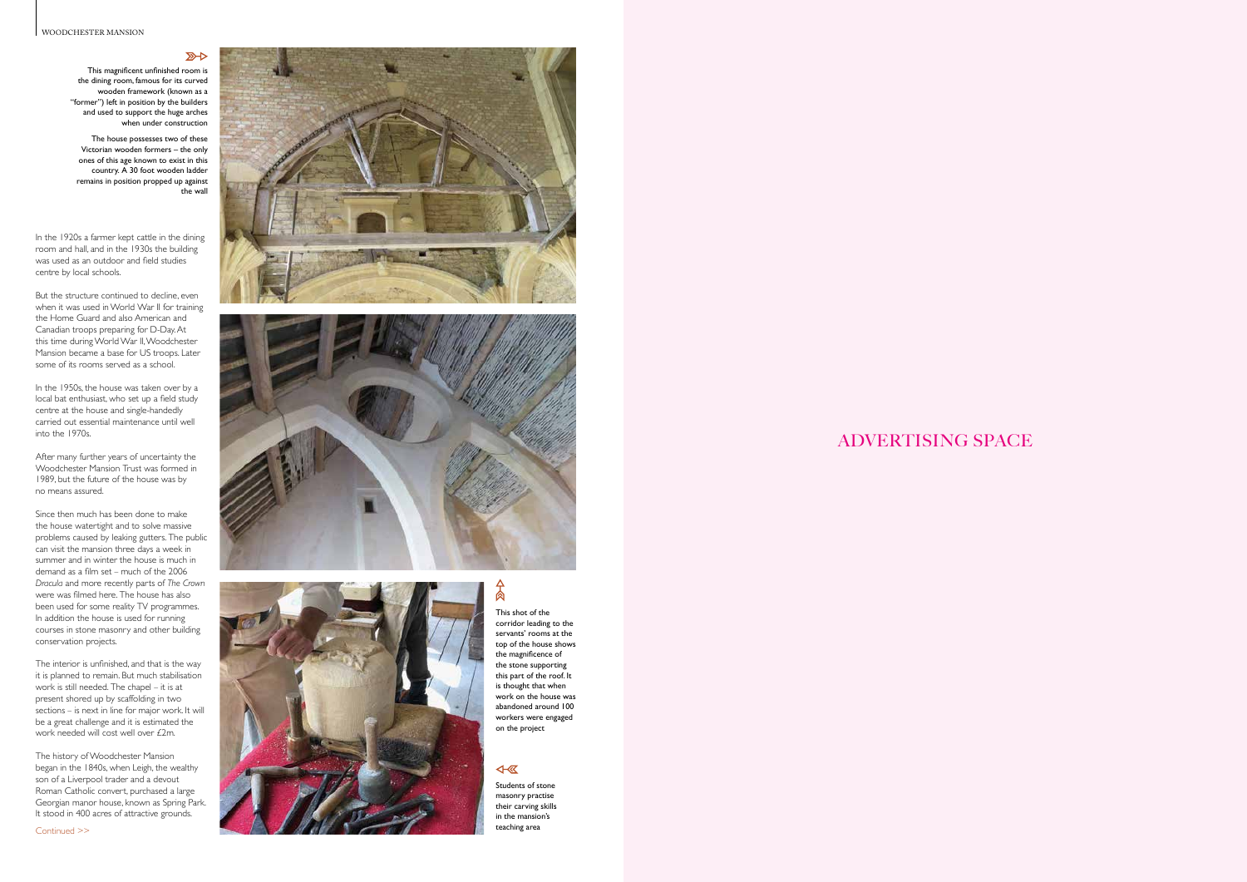#### WOODCHESTER MANSION

 $R$ 

## ADVERTISING SPACE

### This shot of the corridor leading to the servants' rooms at the top of the house shows

the magnificence of the stone supporting this part of the roof. It is thought that when work on the house was abandoned around 100 workers were engaged on the project

#### $\overline{\text{A}}$

In the 1920s a farmer kept cattle in the dining room and hall, and in the 1930s the building was used as an outdoor and field studies centre by local schools.

In the 1950s, the house was taken over by a local bat enthusiast, who set up a field study centre at the house and single-handedly carried out essential maintenance until well into the 1970s.

But the structure continued to decline, even when it was used in World War II for training the Home Guard and also American and Canadian troops preparing for D-Day. At this time during World War II, Woodchester Mansion became a base for US troops. Later some of its rooms served as a school.

The history of Woodchester Mansion began in the 1840s, when Leigh, the wealthy son of a Liverpool trader and a devout Roman Catholic convert, purchased a large Georgian manor house, known as Spring Park. It stood in 400 acres of attractive grounds.

After many further years of uncertainty the Woodchester Mansion Trust was formed in 1989, but the future of the house was by no means assured.

Since then much has been done to make the house watertight and to solve massive problems caused by leaking gutters. The public can visit the mansion three days a week in summer and in winter the house is much in demand as a film set – much of the 2006 *Dracula* and more recently parts of *The Crown* were was filmed here. The house has also been used for some reality TV programmes. In addition the house is used for running courses in stone masonry and other building conservation projects.

The interior is unfinished, and that is the way it is planned to remain. But much stabilisation work is still needed. The chapel – it is at present shored up by scaffolding in two sections – is next in line for major work. It will be a great challenge and it is estimated the work needed will cost well over £2m.

This magnificent unfinished room is the dining room, famous for its curved wooden framework (known as a "former") left in position by the builders and used to support the huge arches when under construction

The house possesses two of these Victorian wooden formers – the only ones of this age known to exist in this country. A 30 foot wooden ladder remains in position propped up against the wall

Continued >>







Students of stone masonry practise their carving skills in the mansion's teaching area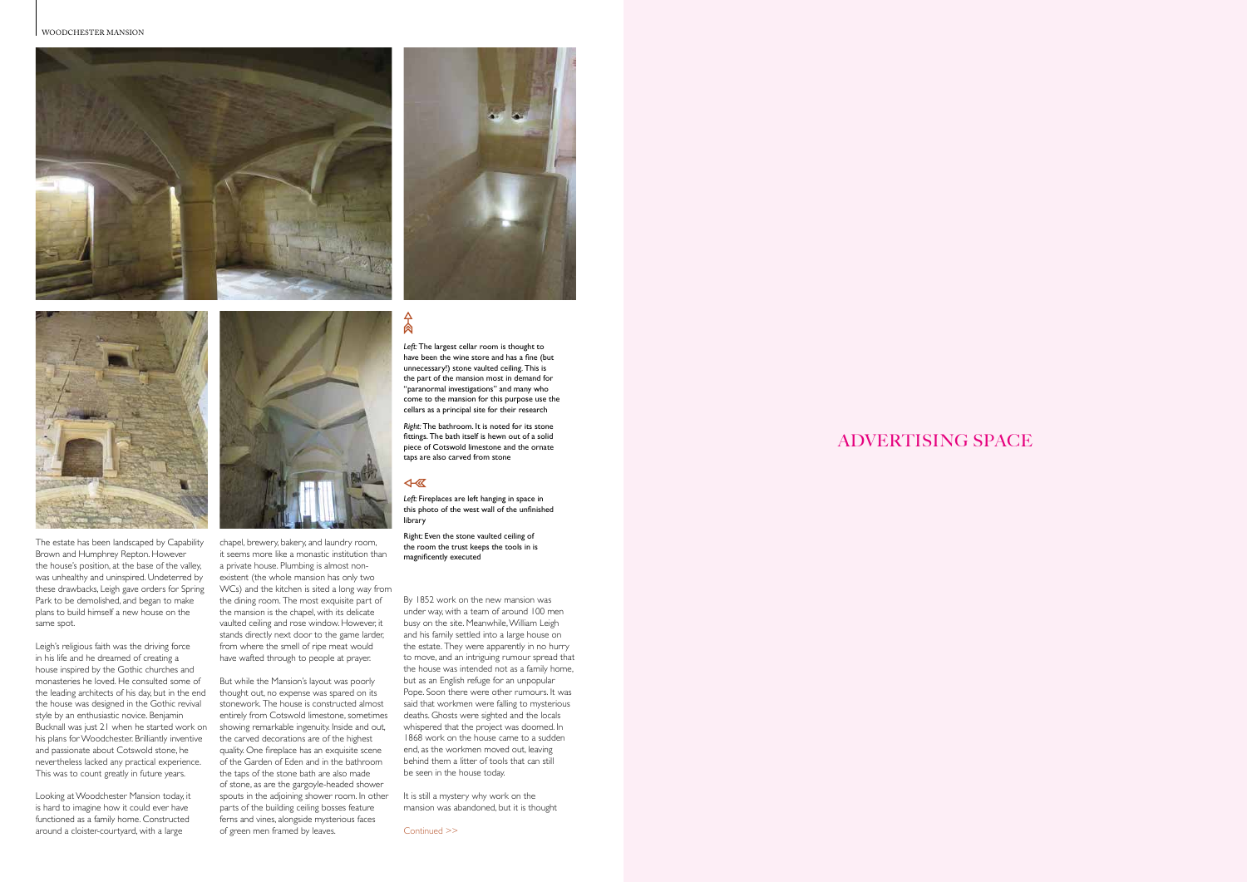





# ADVERTISING SPACE

The estate has been landscaped by Capability Brown and Humphrey Repton. However the house's position, at the base of the valley, was unhealthy and uninspired. Undeterred by these drawbacks, Leigh gave orders for Spring Park to be demolished, and began to make plans to build himself a new house on the same spot.

Leigh's religious faith was the driving force in his life and he dreamed of creating a house inspired by the Gothic churches and monasteries he loved. He consulted some of the leading architects of his day, but in the end the house was designed in the Gothic revival style by an enthusiastic novice. Benjamin Bucknall was just 21 when he started work on his plans for Woodchester. Brilliantly inventive and passionate about Cotswold stone, he nevertheless lacked any practical experience. This was to count greatly in future years.

*Right:* The bathroom. It is noted for its stone fittings. The bath itself is hewn out of a solid piece of Cotswold limestone and the ornate .<br>taps are also carved from stone

Looking at Woodchester Mansion today, it is hard to imagine how it could ever have functioned as a family home. Constructed



*Left:* The largest cellar room is thought to have been the wine store and has a fine (but unnecessary!) stone vaulted ceiling. This is the part of the mansion most in demand for "paranormal investigations" and many who come to the mansion for this purpose use the

around a cloister-courtyard, with a large  $\qquad \qquad$  of green men framed by leaves. Continued >> But while the Mansion's layout was poorly thought out, no expense was spared on its stonework. The house is constructed almost entirely from Cotswold limestone, sometimes showing remarkable ingenuity. Inside and out, the carved decorations are of the highest quality. One fireplace has an exquisite scene of the Garden of Eden and in the bathroom the taps of the stone bath are also made of stone, as are the gargoyle-headed shower spouts in the adjoining shower room. In other parts of the building ceiling bosses feature ferns and vines, alongside mysterious faces of green men framed by leaves.

cellars as a principal site for their research

## 4- 区

 $\Delta$ 肏

It is still a mystery why work on the mansion was abandoned, but it is thought

chapel, brewery, bakery, and laundry room, it seems more like a monastic institution than a private house. Plumbing is almost nonexistent (the whole mansion has only two WCs) and the kitchen is sited a long way from the dining room. The most exquisite part of the mansion is the chapel, with its delicate vaulted ceiling and rose window. However, it stands directly next door to the game larder, from where the smell of ripe meat would have wafted through to people at prayer.

By 1852 work on the new mansion was under way, with a team of around 100 men busy on the site. Meanwhile, William Leigh and his family settled into a large house on the estate. They were apparently in no hurry to move, and an intriguing rumour spread that the house was intended not as a family home, but as an English refuge for an unpopular Pope. Soon there were other rumours. It was said that workmen were falling to mysterious deaths. Ghosts were sighted and the locals whispered that the project was doomed. In 1868 work on the house came to a sudden end, as the workmen moved out, leaving behind them a litter of tools that can still be seen in the house today.

*Left:* Fireplaces are left hanging in space in this photo of the west wall of the unfinished library

Right: Even the stone vaulted ceiling of the room the trust keeps the tools in is magnificently executed